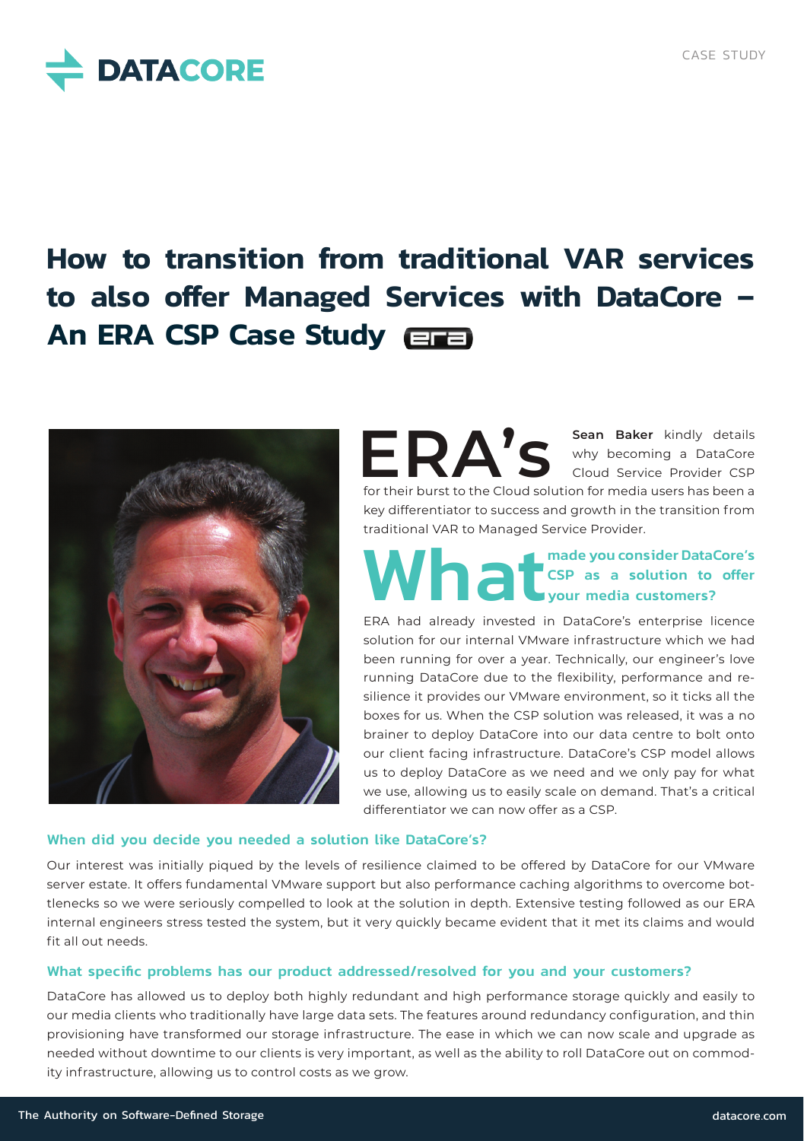

# **How to transition from traditional VAR services to also offer Managed Services with DataCore – An ERA CSP Case Study**



**ERA's Sean Baker** kindly details<br> **S S S Cloud Service Provider CSP** why becoming a DataCore Cloud Service Provider CSP for their burst to the Cloud solution for media users has been a key differentiator to success and growth in the transition from traditional VAR to Managed Service Provider.

# What we have a solution of the State Core of the State Core of the State Core of the State Core of the Data Core of the State Core of the State Core of the State Core of the State Core of the State Core of the State Core o CSP as a solution to offer your media customers?

ERA had already invested in DataCore's enterprise licence solution for our internal VMware infrastructure which we had been running for over a year. Technically, our engineer's love running DataCore due to the flexibility, performance and resilience it provides our VMware environment, so it ticks all the boxes for us. When the CSP solution was released, it was a no brainer to deploy DataCore into our data centre to bolt onto our client facing infrastructure. DataCore's CSP model allows us to deploy DataCore as we need and we only pay for what we use, allowing us to easily scale on demand. That's a critical differentiator we can now offer as a CSP.

#### When did you decide you needed a solution like DataCore's?

Our interest was initially piqued by the levels of resilience claimed to be offered by DataCore for our VMware server estate. It offers fundamental VMware support but also performance caching algorithms to overcome bottlenecks so we were seriously compelled to look at the solution in depth. Extensive testing followed as our ERA internal engineers stress tested the system, but it very quickly became evident that it met its claims and would fit all out needs.

#### What specific problems has our product addressed/resolved for you and your customers?

DataCore has allowed us to deploy both highly redundant and high performance storage quickly and easily to our media clients who traditionally have large data sets. The features around redundancy configuration, and thin provisioning have transformed our storage infrastructure. The ease in which we can now scale and upgrade as needed without downtime to our clients is very important, as well as the ability to roll DataCore out on commodity infrastructure, allowing us to control costs as we grow.